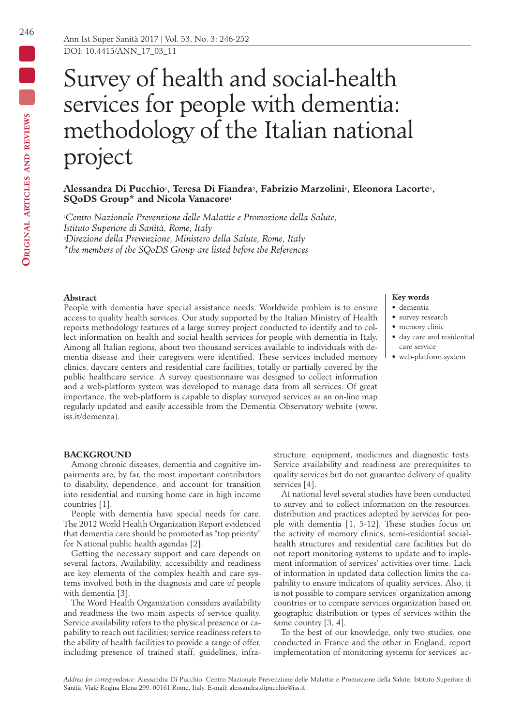# Survey of health and social-health services for people with dementia: methodology of the Italian national project

# **Alessandra Di Pucchio1, Teresa Di Fiandra2, Fabrizio Marzolini1, Eleonora Lacorte1, SQoDS Group\* and Nicola Vanacore1**

*1Centro Nazionale Prevenzione delle Malattie e Promozione della Salute, Istituto Superiore di Sanità, Rome, Italy 2Direzione della Prevenzione, Ministero della Salute, Rome, Italy \*the members of the SQoDS Group are listed before the References*

## **Abstract**

People with dementia have special assistance needs. Worldwide problem is to ensure access to quality health services. Our study supported by the Italian Ministry of Health reports methodology features of a large survey project conducted to identify and to collect information on health and social health services for people with dementia in Italy. Among all Italian regions, about two thousand services available to individuals with dementia disease and their caregivers were identified. These services included memory clinics, daycare centers and residential care facilities, totally or partially covered by the public healthcare service. A survey questionnaire was designed to collect information and a web-platform system was developed to manage data from all services. Of great importance, the web-platform is capable to display surveyed services as an on-line map regularly updated and easily accessible from the Dementia Observatory website (www. iss.it/demenza).

# **Key words**

- dementia
- survey research
- memory clinic
- day care and residential care service
- web-platform system

## **BACKGROUND**

Among chronic diseases, dementia and cognitive impairments are, by far, the most important contributors to disability, dependence, and account for transition into residential and nursing home care in high income countries [1].

People with dementia have special needs for care. The 2012 World Health Organization Report evidenced that dementia care should be promoted as "top priority" for National public health agendas [2].

Getting the necessary support and care depends on several factors. Availability, accessibility and readiness are key elements of the complex health and care systems involved both in the diagnosis and care of people with dementia [3].

The Word Health Organization considers availability and readiness the two main aspects of service quality. Service availability refers to the physical presence or capability to reach out facilities; service readiness refers to the ability of health facilities to provide a range of offer, including presence of trained staff, guidelines, infrastructure, equipment, medicines and diagnostic tests. Service availability and readiness are prerequisites to quality services but do not guarantee delivery of quality services [4].

At national level several studies have been conducted to survey and to collect information on the resources, distribution and practices adopted by services for people with dementia [1, 5-12]. These studies focus on the activity of memory clinics, semi-residential socialhealth structures and residential care facilities but do not report monitoring systems to update and to implement information of services' activities over time. Lack of information in updated data collection limits the capability to ensure indicators of quality services. Also, it is not possible to compare services' organization among countries or to compare services organization based on geographic distribution or types of services within the same country [3, 4].

To the best of our knowledge, only two studies, one conducted in France and the other in England, report implementation of monitoring systems for services' ac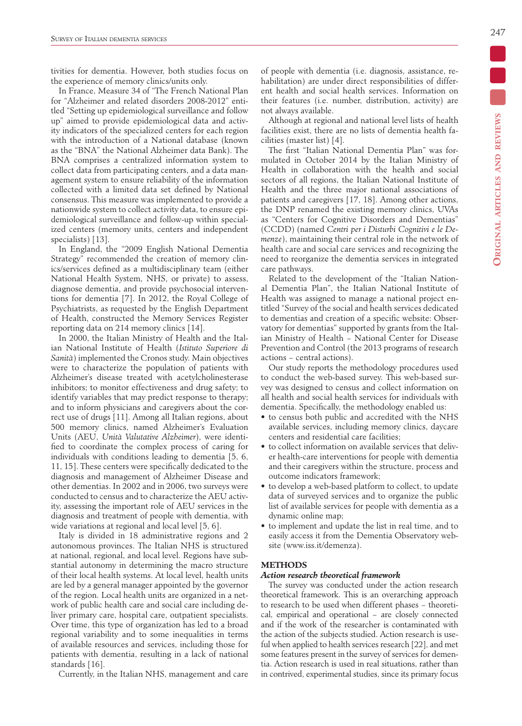tivities for dementia. However, both studies focus on the experience of memory clinics/units only.

In France, Measure 34 of "The French National Plan for "Alzheimer and related disorders 2008-2012" entitled "Setting up epidemiological surveillance and follow up" aimed to provide epidemiological data and activity indicators of the specialized centers for each region with the introduction of a National database (known as the "BNA" the National Alzheimer data Bank). The BNA comprises a centralized information system to collect data from participating centers, and a data management system to ensure reliability of the information collected with a limited data set defined by National consensus. This measure was implemented to provide a nationwide system to collect activity data, to ensure epidemiological surveillance and follow-up within specialized centers (memory units, centers and independent specialists) [13].

In England, the "2009 English National Dementia Strategy" recommended the creation of memory clinics/services defined as a multidisciplinary team (either National Health System, NHS, or private) to assess, diagnose dementia, and provide psychosocial interventions for dementia [7]. In 2012, the Royal College of Psychiatrists, as requested by the English Department of Health, constructed the Memory Services Register reporting data on 214 memory clinics [14].

In 2000, the Italian Ministry of Health and the Italian National Institute of Health (*Istituto Superiore di Sanità*) implemented the Cronos study. Main objectives were to characterize the population of patients with Alzheimer's disease treated with acetylcholinesterase inhibitors; to monitor effectiveness and drug safety; to identify variables that may predict response to therapy; and to inform physicians and caregivers about the correct use of drugs [11]. Among all Italian regions, about 500 memory clinics, named Alzheimer's Evaluation Units (AEU, *Unità Valutative Alzheimer*), were identified to coordinate the complex process of caring for individuals with conditions leading to dementia [5, 6, 11, 15]. These centers were specifically dedicated to the diagnosis and management of Alzheimer Disease and other dementias. In 2002 and in 2006, two surveys were conducted to census and to characterize the AEU activity, assessing the important role of AEU services in the diagnosis and treatment of people with dementia, with wide variations at regional and local level [5, 6].

Italy is divided in 18 administrative regions and 2 autonomous provinces. The Italian NHS is structured at national, regional, and local level. Regions have substantial autonomy in determining the macro structure of their local health systems. At local level, health units are led by a general manager appointed by the governor of the region. Local health units are organized in a network of public health care and social care including deliver primary care, hospital care, outpatient specialists. Over time, this type of organization has led to a broad regional variability and to some inequalities in terms of available resources and services, including those for patients with dementia, resulting in a lack of national standards [16].

Currently, in the Italian NHS, management and care

of people with dementia (i.e. diagnosis, assistance, rehabilitation) are under direct responsibilities of different health and social health services. Information on their features (i.e. number, distribution, activity) are not always available.

Although at regional and national level lists of health facilities exist, there are no lists of dementia health facilities (master list) [4].

The first "Italian National Dementia Plan" was formulated in October 2014 by the Italian Ministry of Health in collaboration with the health and social sectors of all regions, the Italian National Institute of Health and the three major national associations of patients and caregivers [17, 18]. Among other actions, the DNP renamed the existing memory clinics, UVAs as "Centers for Cognitive Disorders and Dementias" (CCDD) (named *Centri per i Disturbi Cognitivi e le Demenze*), maintaining their central role in the network of health care and social care services and recognizing the need to reorganize the dementia services in integrated care pathways.

Related to the development of the "Italian National Dementia Plan", the Italian National Institute of Health was assigned to manage a national project entitled "Survey of the social and health services dedicated to dementias and creation of a specific website: Observatory for dementias" supported by grants from the Italian Ministry of Health − National Center for Disease Prevention and Control (the 2013 programs of research actions − central actions).

Our study reports the methodology procedures used to conduct the web-based survey. This web-based survey was designed to census and collect information on all health and social health services for individuals with dementia. Specifically, the methodology enabled us:

- to census both public and accredited with the NHS available services, including memory clinics, daycare centers and residential care facilities;
- to collect information on available services that deliver health-care interventions for people with dementia and their caregivers within the structure, process and outcome indicators framework;
- to develop a web-based platform to collect, to update data of surveyed services and to organize the public list of available services for people with dementia as a dynamic online map;
- to implement and update the list in real time, and to easily access it from the Dementia Observatory website (www.iss.it/demenza).

## **METHODS**

# *Action research theoretical framework*

The survey was conducted under the action research theoretical framework. This is an overarching approach to research to be used when different phases − theoretical, empirical and operational − are closely connected and if the work of the researcher is contaminated with the action of the subjects studied. Action research is useful when applied to health services research [22], and met some features present in the survey of services for dementia. Action research is used in real situations, rather than in contrived, experimental studies, since its primary focus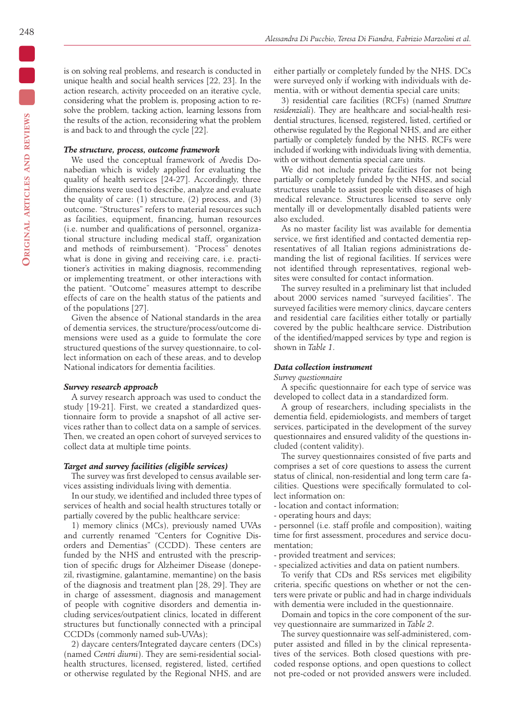is on solving real problems, and research is conducted in unique health and social health services [22, 23]. In the action research, activity proceeded on an iterative cycle, considering what the problem is, proposing action to resolve the problem, tacking action, learning lessons from the results of the action, reconsidering what the problem is and back to and through the cycle [22].

# *The structure, process, outcome framework*

We used the conceptual framework of Avedis Donabedian which is widely applied for evaluating the quality of health services [24-27]. Accordingly, three dimensions were used to describe, analyze and evaluate the quality of care: (1) structure, (2) process, and (3) outcome. "Structures" refers to material resources such as facilities, equipment, financing, human resources (i.e. number and qualifications of personnel, organizational structure including medical staff, organization and methods of reimbursement). "Process" denotes what is done in giving and receiving care, i.e. practitioner's activities in making diagnosis, recommending or implementing treatment, or other interactions with the patient. "Outcome" measures attempt to describe effects of care on the health status of the patients and of the populations [27].

Given the absence of National standards in the area of dementia services, the structure/process/outcome dimensions were used as a guide to formulate the core structured questions of the survey questionnaire, to collect information on each of these areas, and to develop National indicators for dementia facilities.

## *Survey research approach*

A survey research approach was used to conduct the study [19-21]. First, we created a standardized questionnaire form to provide a snapshot of all active services rather than to collect data on a sample of services. Then, we created an open cohort of surveyed services to collect data at multiple time points.

#### *Target and survey facilities (eligible services)*

The survey was first developed to census available services assisting individuals living with dementia.

In our study, we identified and included three types of services of health and social health structures totally or partially covered by the public healthcare service:

1) memory clinics (MCs), previously named UVAs and currently renamed "Centers for Cognitive Disorders and Dementias" (CCDD). These centers are funded by the NHS and entrusted with the prescription of specific drugs for Alzheimer Disease (donepezil, rivastigmine, galantamine, memantine) on the basis of the diagnosis and treatment plan [28, 29]. They are in charge of assessment, diagnosis and management of people with cognitive disorders and dementia including services/outpatient clinics, located in different structures but functionally connected with a principal CCDDs (commonly named sub-UVAs);

2) daycare centers/Integrated daycare centers (DCs) (named *Centri diurni*). They are semi-residential socialhealth structures, licensed, registered, listed, certified or otherwise regulated by the Regional NHS, and are

either partially or completely funded by the NHS. DCs were surveyed only if working with individuals with dementia, with or without dementia special care units;

3) residential care facilities (RCFs) (named *Strutture residenziali*). They are healthcare and social-health residential structures, licensed, registered, listed, certified or otherwise regulated by the Regional NHS, and are either partially or completely funded by the NHS. RCFs were included if working with individuals living with dementia, with or without dementia special care units.

We did not include private facilities for not being partially or completely funded by the NHS, and social structures unable to assist people with diseases of high medical relevance. Structures licensed to serve only mentally ill or developmentally disabled patients were also excluded.

As no master facility list was available for dementia service, we first identified and contacted dementia representatives of all Italian regions administrations demanding the list of regional facilities. If services were not identified through representatives, regional websites were consulted for contact information.

The survey resulted in a preliminary list that included about 2000 services named "surveyed facilities". The surveyed facilities were memory clinics, daycare centers and residential care facilities either totally or partially covered by the public healthcare service. Distribution of the identified/mapped services by type and region is shown in *Table 1*.

## *Data collection instrument*

*Survey questionnaire*

A specific questionnaire for each type of service was developed to collect data in a standardized form.

A group of researchers, including specialists in the dementia field, epidemiologists, and members of target services, participated in the development of the survey questionnaires and ensured validity of the questions included (content validity).

The survey questionnaires consisted of five parts and comprises a set of core questions to assess the current status of clinical, non-residential and long term care facilities. Questions were specifically formulated to collect information on:

- location and contact information;
- operating hours and days;

- personnel (i.e. staff profile and composition), waiting time for first assessment, procedures and service documentation;

- provided treatment and services;
- specialized activities and data on patient numbers.

To verify that CDs and RSs services met eligibility criteria, specific questions on whether or not the centers were private or public and had in charge individuals with dementia were included in the questionnaire.

Domain and topics in the core component of the survey questionnaire are summarized in *Table 2*.

The survey questionnaire was self-administered, computer assisted and filled in by the clinical representatives of the services. Both closed questions with precoded response options, and open questions to collect not pre-coded or not provided answers were included.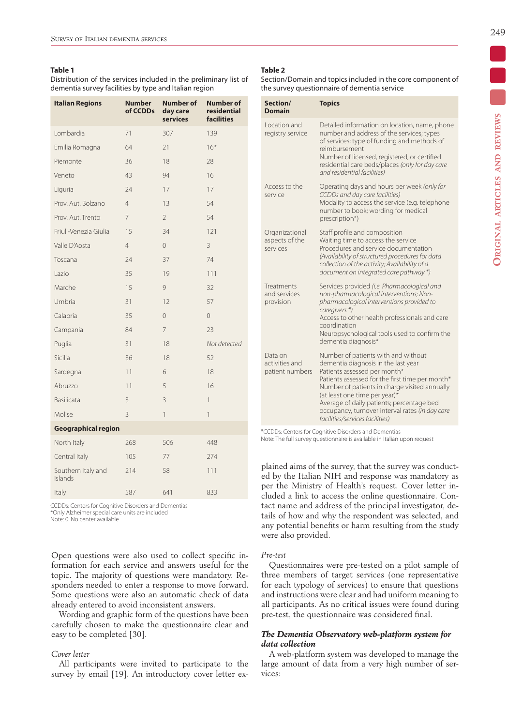#### **Table 1**

Distribution of the services included in the preliminary list of dementia survey facilities by type and Italian region

| <b>Italian Regions</b>        | <b>Number</b><br>of CCDDs | <b>Number of</b><br>day care<br><b>services</b> | <b>Number of</b><br>residential<br><b>facilities</b> |
|-------------------------------|---------------------------|-------------------------------------------------|------------------------------------------------------|
| Lombardia                     | 71                        | 307                                             | 139                                                  |
| Emilia Romagna                | 64                        | 21                                              | $16*$                                                |
| Piemonte                      | 36                        | 18                                              | 28                                                   |
| Veneto                        | 43                        | 94                                              | 16                                                   |
| Liguria                       | 24                        | 17                                              | 17                                                   |
| Prov. Aut. Bolzano            | $\overline{4}$            | 13                                              | 54                                                   |
| Prov. Aut. Trento             | 7                         | $\overline{2}$                                  | 54                                                   |
| Friuli-Venezia Giulia         | 15                        | 34                                              | 121                                                  |
| Valle D'Aosta                 | $\overline{4}$            | $\overline{0}$                                  | 3                                                    |
| Toscana                       | 24                        | 37                                              | 74                                                   |
| Lazio                         | 35                        | 19                                              | 111                                                  |
| Marche                        | 15                        | 9                                               | 32                                                   |
| Umbria                        | 31                        | 12                                              | 57                                                   |
| Calabria                      | 35                        | 0                                               | 0                                                    |
| Campania                      | 84                        | 7                                               | 23                                                   |
| Puglia                        | 31                        | 18                                              | Not detected                                         |
| Sicilia                       | 36                        | 18                                              | 52                                                   |
| Sardegna                      | 11                        | 6                                               | 18                                                   |
| Abruzzo                       | 11                        | 5                                               | 16                                                   |
| Basilicata                    | 3                         | 3                                               | 1                                                    |
| Molise                        | 3                         | 1                                               | 1                                                    |
| <b>Geographical region</b>    |                           |                                                 |                                                      |
| North Italy                   | 268                       | 506                                             | 448                                                  |
| Central Italy                 | 105                       | 77                                              | 274                                                  |
| Southern Italy and<br>Islands | 214                       | 58                                              | 111                                                  |
| Italy                         | 587                       | 641                                             | 833                                                  |

CCDDs: Centers for Cognitive Disorders and Dementias \*Only Alzheimer special care units are included Note: 0: No center available

Open questions were also used to collect specific information for each service and answers useful for the topic. The majority of questions were mandatory. Responders needed to enter a response to move forward. Some questions were also an automatic check of data already entered to avoid inconsistent answers.

Wording and graphic form of the questions have been carefully chosen to make the questionnaire clear and easy to be completed [30].

#### *Cover letter*

All participants were invited to participate to the survey by email [19]. An introductory cover letter ex-

#### **Table 2**

Section/Domain and topics included in the core component of the survey questionnaire of dementia service

| Section/<br><b>Domain</b>                      | <b>Topics</b>                                                                                                                                                                                                                                                                                                                                                                      |
|------------------------------------------------|------------------------------------------------------------------------------------------------------------------------------------------------------------------------------------------------------------------------------------------------------------------------------------------------------------------------------------------------------------------------------------|
| I ocation and<br>registry service              | Detailed information on location, name, phone<br>number and address of the services; types<br>of services; type of funding and methods of<br>reimbursement<br>Number of licensed, registered, or certified<br>residential care beds/places (only for day care<br>and residential facilities)                                                                                       |
| Access to the<br>service                       | Operating days and hours per week (only for<br>CCDDs and day care facilities)<br>Modality to access the service (e.g. telephone<br>number to book; wording for medical<br>prescription*)                                                                                                                                                                                           |
| Organizational<br>aspects of the<br>services   | Staff profile and composition<br>Waiting time to access the service<br>Procedures and service documentation<br>(Availability of structured procedures for data<br>collection of the activity; Availability of a<br>document on integrated care pathway *)                                                                                                                          |
| <b>Treatments</b><br>and services<br>provision | Services provided (i.e. Pharmacological and<br>non-pharmacological interventions; Non-<br>pharmacological interventions provided to<br>caregivers *)<br>Access to other health professionals and care<br>coordination<br>Neuropsychological tools used to confirm the<br>dementia diagnosis*                                                                                       |
| Data on<br>activities and<br>patient numbers   | Number of patients with and without<br>dementia diagnosis in the last year<br>Patients assessed per month*<br>Patients assessed for the first time per month*<br>Number of patients in charge visited annually<br>(at least one time per year)*<br>Average of daily patients; percentage bed<br>occupancy, turnover interval rates (in day care<br>facilities/services facilities) |

\*CCDDs: Centers for Cognitive Disorders and Dementias Note: The full survey questionnaire is available in Italian upon request

plained aims of the survey, that the survey was conducted by the Italian NIH and response was mandatory as per the Ministry of Health's request. Cover letter included a link to access the online questionnaire. Contact name and address of the principal investigator, details of how and why the respondent was selected, and any potential benefits or harm resulting from the study were also provided.

#### *Pre-test*

Questionnaires were pre-tested on a pilot sample of three members of target services (one representative for each typology of services) to ensure that questions and instructions were clear and had uniform meaning to all participants. As no critical issues were found during pre-test, the questionnaire was considered final.

# *The Dementia Observatory web-platform system for data collection*

A web-platform system was developed to manage the large amount of data from a very high number of services: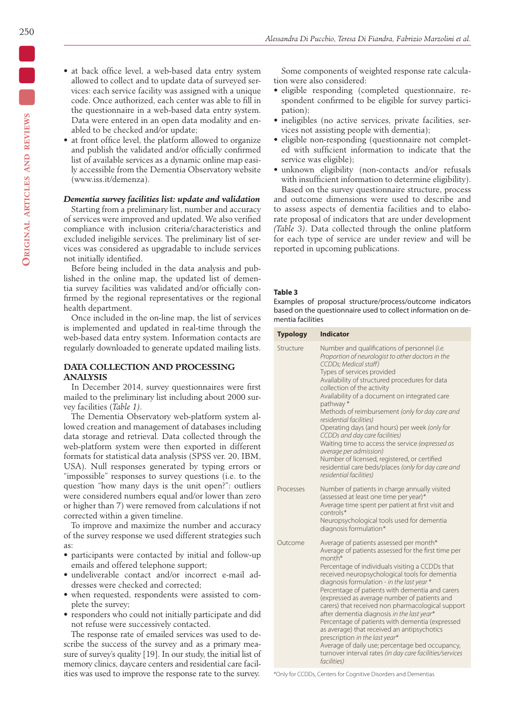- at back office level, a web-based data entry system allowed to collect and to update data of surveyed services: each service facility was assigned with a unique code. Once authorized, each center was able to fill in the questionnaire in a web-based data entry system. Data were entered in an open data modality and enabled to be checked and/or update;
- at front office level, the platform allowed to organize and publish the validated and/or officially confirmed list of available services as a dynamic online map easily accessible from the Dementia Observatory website (www.iss.it/demenza).

## *Dementia survey facilities list: update and validation*

Starting from a preliminary list, number and accuracy of services were improved and updated. We also verified compliance with inclusion criteria/characteristics and excluded ineligible services. The preliminary list of services was considered as upgradable to include services not initially identified.

Before being included in the data analysis and published in the online map, the updated list of dementia survey facilities was validated and/or officially confirmed by the regional representatives or the regional health department.

Once included in the on-line map, the list of services is implemented and updated in real-time through the web-based data entry system. Information contacts are regularly downloaded to generate updated mailing lists.

# **DATA COLLECTION AND PROCESSING ANALYSIS**

In December 2014, survey questionnaires were first mailed to the preliminary list including about 2000 survey facilities (*Table 1)*.

The Dementia Observatory web-platform system allowed creation and management of databases including data storage and retrieval. Data collected through the web-platform system were then exported in different formats for statistical data analysis (SPSS ver. 20, IBM, USA). Null responses generated by typing errors or "impossible" responses to survey questions (i.e. to the question "how many days is the unit open?": outliers were considered numbers equal and/or lower than zero or higher than 7) were removed from calculations if not corrected within a given timeline.

To improve and maximize the number and accuracy of the survey response we used different strategies such as:

- participants were contacted by initial and follow-up emails and offered telephone support;
- undeliverable contact and/or incorrect e-mail addresses were checked and corrected;
- when requested, respondents were assisted to complete the survey;
- responders who could not initially participate and did not refuse were successively contacted.

The response rate of emailed services was used to describe the success of the survey and as a primary measure of survey's quality [19]. In our study, the initial list of memory clinics, daycare centers and residential care facilities was used to improve the response rate to the survey.

Some components of weighted response rate calculation were also considered:

- eligible responding (completed questionnaire, respondent confirmed to be eligible for survey participation);
- ineligibles (no active services, private facilities, services not assisting people with dementia);
- eligible non-responding (questionnaire not completed with sufficient information to indicate that the service was eligible);
- unknown eligibility (non-contacts and/or refusals with insufficient information to determine eligibility). Based on the survey questionnaire structure, process

and outcome dimensions were used to describe and to assess aspects of dementia facilities and to elaborate proposal of indicators that are under development *(Table 3)*. Data collected through the online platform for each type of service are under review and will be reported in upcoming publications.

#### **Table 3**

Examples of proposal structure/process/outcome indicators based on the questionnaire used to collect information on dementia facilities

| <b>Typology</b> | <b>Indicator</b>                                                                                                                                                                                                                                                                                                                                                                                                                                                                                                                                                                                                                                                                                                                                |
|-----------------|-------------------------------------------------------------------------------------------------------------------------------------------------------------------------------------------------------------------------------------------------------------------------------------------------------------------------------------------------------------------------------------------------------------------------------------------------------------------------------------------------------------------------------------------------------------------------------------------------------------------------------------------------------------------------------------------------------------------------------------------------|
| Structure       | Number and qualifications of personnel (i.e.<br>Proportion of neurologist to other doctors in the<br>CCDDs; Medical staff)<br>Types of services provided<br>Availability of structured procedures for data<br>collection of the activity<br>Availability of a document on integrated care<br>pathway*<br>Methods of reimbursement (only for day care and<br>residential facilities)<br>Operating days (and hours) per week (only for<br>CCDDs and day care facilities)<br>Waiting time to access the service (expressed as<br>average per admission)<br>Number of licensed, registered, or certified<br>residential care beds/places (only for day care and<br>residential facilities)                                                          |
| Processes       | Number of patients in charge annually visited<br>(assessed at least one time per year)*<br>Average time spent per patient at first visit and<br>controls*<br>Neuropsychological tools used for dementia<br>diagnosis formulation*                                                                                                                                                                                                                                                                                                                                                                                                                                                                                                               |
| Outcome         | Average of patients assessed per month*<br>Average of patients assessed for the first time per<br>month <sup>*</sup><br>Percentage of individuals visiting a CCDDs that<br>received neuropsychological tools for dementia<br>diagnosis formulation - in the last year *<br>Percentage of patients with dementia and carers<br>(expressed as average number of patients and<br>carers) that received non pharmacological support<br>after dementia diagnosis in the last year*<br>Percentage of patients with dementia (expressed<br>as average) that received an antipsychotics<br>prescription in the last year*<br>Average of daily use; percentage bed occupancy,<br>turnover interval rates (in day care facilities/services<br>facilities) |

\*Only for CCDDs, Centers for Cognitive Disorders and Dementias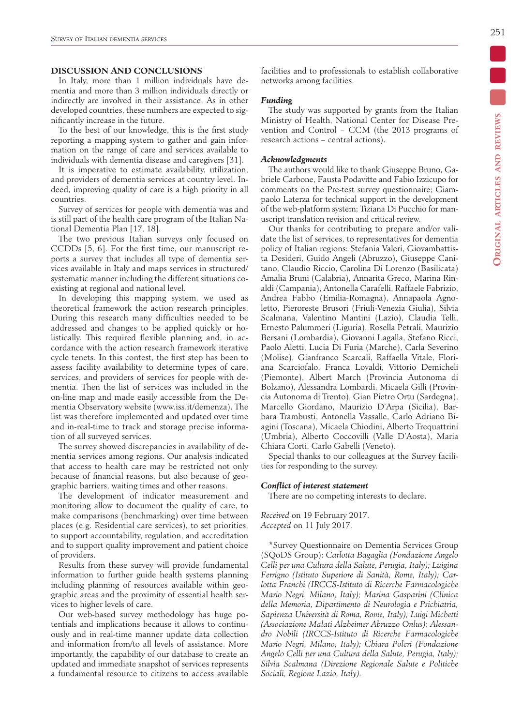# **DISCUSSION AND CONCLUSIONS**

In Italy, more than 1 million individuals have dementia and more than 3 million individuals directly or indirectly are involved in their assistance. As in other developed countries, these numbers are expected to significantly increase in the future.

To the best of our knowledge, this is the first study reporting a mapping system to gather and gain information on the range of care and services available to individuals with dementia disease and caregivers [31].

It is imperative to estimate availability, utilization, and providers of dementia services at country level. Indeed, improving quality of care is a high priority in all countries.

Survey of services for people with dementia was and is still part of the health care program of the Italian National Dementia Plan [17, 18].

The two previous Italian surveys only focused on CCDDs [5, 6]. For the first time, our manuscript reports a survey that includes all type of dementia services available in Italy and maps services in structured/ systematic manner including the different situations coexisting at regional and national level.

In developing this mapping system, we used as theoretical framework the action research principles. During this research many difficulties needed to be addressed and changes to be applied quickly or holistically. This required flexible planning and, in accordance with the action research framework iterative cycle tenets. In this contest, the first step has been to assess facility availability to determine types of care, services, and providers of services for people with dementia. Then the list of services was included in the on-line map and made easily accessible from the Dementia Observatory website (www.iss.it/demenza). The list was therefore implemented and updated over time and in-real-time to track and storage precise information of all surveyed services.

The survey showed discrepancies in availability of dementia services among regions. Our analysis indicated that access to health care may be restricted not only because of financial reasons, but also because of geographic barriers, waiting times and other reasons.

The development of indicator measurement and monitoring allow to document the quality of care, to make comparisons (benchmarking) over time between places (e.g. Residential care services), to set priorities, to support accountability, regulation, and accreditation and to support quality improvement and patient choice of providers.

Results from these survey will provide fundamental information to further guide health systems planning including planning of resources available within geographic areas and the proximity of essential health services to higher levels of care.

Our web-based survey methodology has huge potentials and implications because it allows to continuously and in real-time manner update data collection and information from/to all levels of assistance. More importantly, the capability of our database to create an updated and immediate snapshot of services represents a fundamental resource to citizens to access available facilities and to professionals to establish collaborative networks among facilities.

#### *Funding*

The study was supported by grants from the Italian Ministry of Health, National Center for Disease Prevention and Control − CCM (the 2013 programs of research actions − central actions).

## *Acknowledgments*

The authors would like to thank Giuseppe Bruno, Gabriele Carbone, Fausta Podavitte and Fabio Izzicupo for comments on the Pre-test survey questionnaire; Giampaolo Laterza for technical support in the development of the web-platform system; Tiziana Di Pucchio for manuscript translation revision and critical review.

Our thanks for contributing to prepare and/or validate the list of services, to representatives for dementia policy of Italian regions: Stefania Valeri, Giovambattista Desideri, Guido Angeli (Abruzzo), Giuseppe Canitano, Claudio Riccio, Carolina Di Lorenzo (Basilicata) Amalia Bruni (Calabria), Annarita Greco, Marina Rinaldi (Campania), Antonella Carafelli, Raffaele Fabrizio, Andrea Fabbo (Emilia-Romagna), Annapaola Agnoletto, Pieroreste Brusori (Friuli-Venezia Giulia), Silvia Scalmana, Valentino Mantini (Lazio), Claudia Telli, Ernesto Palummeri (Liguria), Rosella Petrali, Maurizio Bersani (Lombardia), Giovanni Lagalla, Stefano Ricci, Paolo Aletti, Lucia Di Furia (Marche), Carla Severino (Molise), Gianfranco Scarcali, Raffaella Vitale, Floriana Scarciofalo, Franca Lovaldi, Vittorio Demicheli (Piemonte), Albert March (Provincia Autonoma di Bolzano), Alessandra Lombardi, Micaela Gilli (Provincia Autonoma di Trento), Gian Pietro Ortu (Sardegna), Marcello Giordano, Maurizio D'Arpa (Sicilia), Barbara Trambusti, Antonella Vassalle, Carlo Adriano Biagini (Toscana), Micaela Chiodini, Alberto Trequattrini (Umbria), Alberto Coccovilli (Valle D'Aosta), Maria Chiara Corti, Carlo Gabelli (Veneto).

Special thanks to our colleagues at the Survey facilities for responding to the survey.

# *Conflict of interest statement*

There are no competing interests to declare.

*Received* on 19 February 2017. *Accepted* on 11 July 2017.

\*Survey Questionnaire on Dementia Services Group (SQoDS Group): *Carlotta Bagaglia (Fondazione Angelo Celli per una Cultura della Salute, Perugia, Italy); Luigina Ferrigno (Istituto Superiore di Sanità, Rome, Italy); Carlotta Franchi (IRCCS-Istituto di Ricerche Farmacologiche Mario Negri, Milano, Italy); Marina Gasparini (Clinica della Memoria, Dipartimento di Neurologia e Psichiatria, Sapienza Università di Roma, Rome, Italy); Luigi Michetti (Associazione Malati Alzheimer Abruzzo Onlus); Alessandro Nobili (IRCCS-Istituto di Ricerche Farmacologiche Mario Negri, Milano, Italy); Chiara Polcri (Fondazione Angelo Celli per una Cultura della Salute, Perugia, Italy); Silvia Scalmana (Direzione Regionale Salute e Politiche Sociali, Regione Lazio, Italy).*